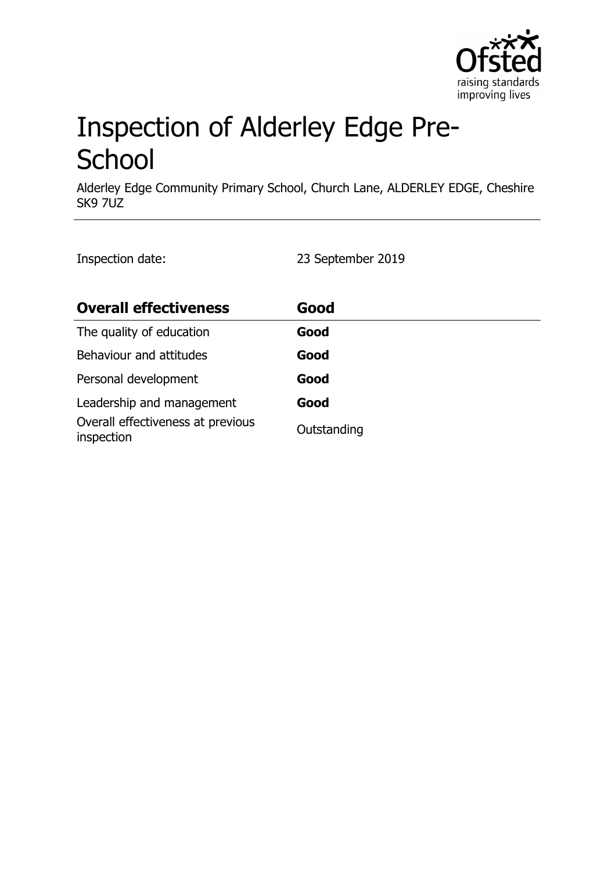

# Inspection of Alderley Edge Pre-**School**

Alderley Edge Community Primary School, Church Lane, ALDERLEY EDGE, Cheshire SK9 7UZ

Inspection date: 23 September 2019

| <b>Overall effectiveness</b>                    | Good        |
|-------------------------------------------------|-------------|
| The quality of education                        | Good        |
| Behaviour and attitudes                         | Good        |
| Personal development                            | Good        |
| Leadership and management                       | Good        |
| Overall effectiveness at previous<br>inspection | Outstanding |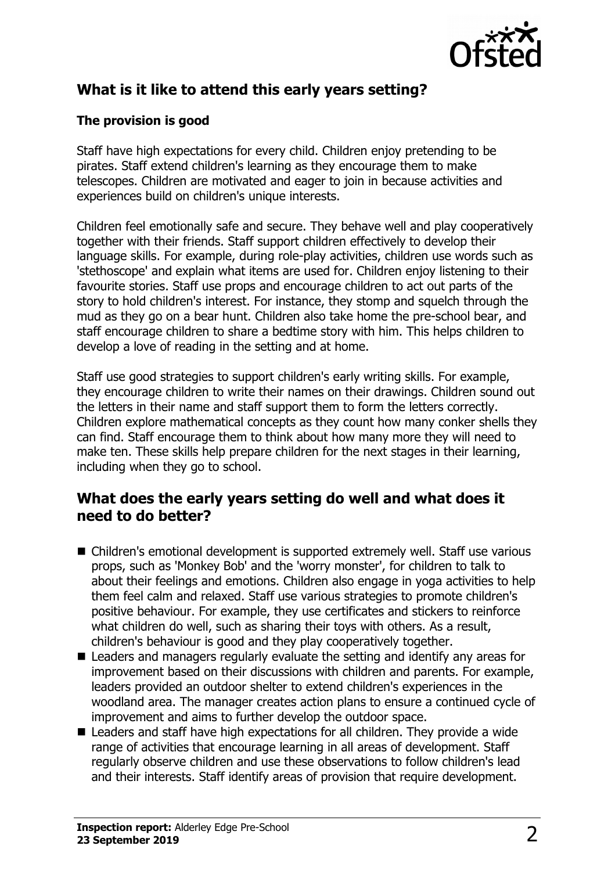

# **What is it like to attend this early years setting?**

#### **The provision is good**

Staff have high expectations for every child. Children enjoy pretending to be pirates. Staff extend children's learning as they encourage them to make telescopes. Children are motivated and eager to join in because activities and experiences build on children's unique interests.

Children feel emotionally safe and secure. They behave well and play cooperatively together with their friends. Staff support children effectively to develop their language skills. For example, during role-play activities, children use words such as 'stethoscope' and explain what items are used for. Children enjoy listening to their favourite stories. Staff use props and encourage children to act out parts of the story to hold children's interest. For instance, they stomp and squelch through the mud as they go on a bear hunt. Children also take home the pre-school bear, and staff encourage children to share a bedtime story with him. This helps children to develop a love of reading in the setting and at home.

Staff use good strategies to support children's early writing skills. For example, they encourage children to write their names on their drawings. Children sound out the letters in their name and staff support them to form the letters correctly. Children explore mathematical concepts as they count how many conker shells they can find. Staff encourage them to think about how many more they will need to make ten. These skills help prepare children for the next stages in their learning, including when they go to school.

## **What does the early years setting do well and what does it need to do better?**

- Children's emotional development is supported extremely well. Staff use various props, such as 'Monkey Bob' and the 'worry monster', for children to talk to about their feelings and emotions. Children also engage in yoga activities to help them feel calm and relaxed. Staff use various strategies to promote children's positive behaviour. For example, they use certificates and stickers to reinforce what children do well, such as sharing their toys with others. As a result, children's behaviour is good and they play cooperatively together.
- $\blacksquare$  Leaders and managers regularly evaluate the setting and identify any areas for improvement based on their discussions with children and parents. For example, leaders provided an outdoor shelter to extend children's experiences in the woodland area. The manager creates action plans to ensure a continued cycle of improvement and aims to further develop the outdoor space.
- $\blacksquare$  Leaders and staff have high expectations for all children. They provide a wide range of activities that encourage learning in all areas of development. Staff regularly observe children and use these observations to follow children's lead and their interests. Staff identify areas of provision that require development.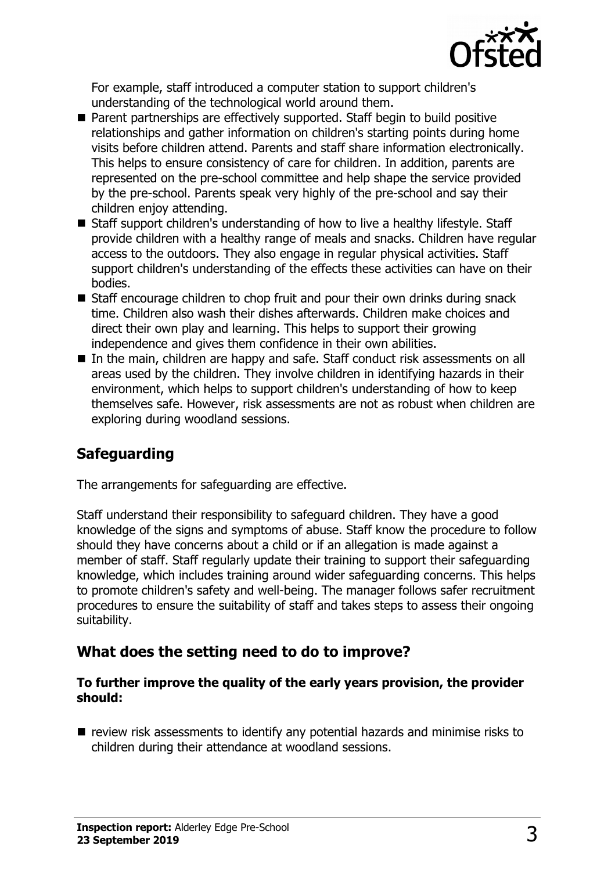

For example, staff introduced a computer station to support children's understanding of the technological world around them.

- Parent partnerships are effectively supported. Staff begin to build positive relationships and gather information on children's starting points during home visits before children attend. Parents and staff share information electronically. This helps to ensure consistency of care for children. In addition, parents are represented on the pre-school committee and help shape the service provided by the pre-school. Parents speak very highly of the pre-school and say their children enjoy attending.
- $\blacksquare$  Staff support children's understanding of how to live a healthy lifestyle. Staff provide children with a healthy range of meals and snacks. Children have regular access to the outdoors. They also engage in regular physical activities. Staff support children's understanding of the effects these activities can have on their bodies.
- $\blacksquare$  Staff encourage children to chop fruit and pour their own drinks during snack time. Children also wash their dishes afterwards. Children make choices and direct their own play and learning. This helps to support their growing independence and gives them confidence in their own abilities.
- In the main, children are happy and safe. Staff conduct risk assessments on all areas used by the children. They involve children in identifying hazards in their environment, which helps to support children's understanding of how to keep themselves safe. However, risk assessments are not as robust when children are exploring during woodland sessions.

# **Safeguarding**

The arrangements for safeguarding are effective.

Staff understand their responsibility to safeguard children. They have a good knowledge of the signs and symptoms of abuse. Staff know the procedure to follow should they have concerns about a child or if an allegation is made against a member of staff. Staff regularly update their training to support their safeguarding knowledge, which includes training around wider safeguarding concerns. This helps to promote children's safety and well-being. The manager follows safer recruitment procedures to ensure the suitability of staff and takes steps to assess their ongoing suitability.

## **What does the setting need to do to improve?**

#### **To further improve the quality of the early years provision, the provider should:**

 $\blacksquare$  review risk assessments to identify any potential hazards and minimise risks to children during their attendance at woodland sessions.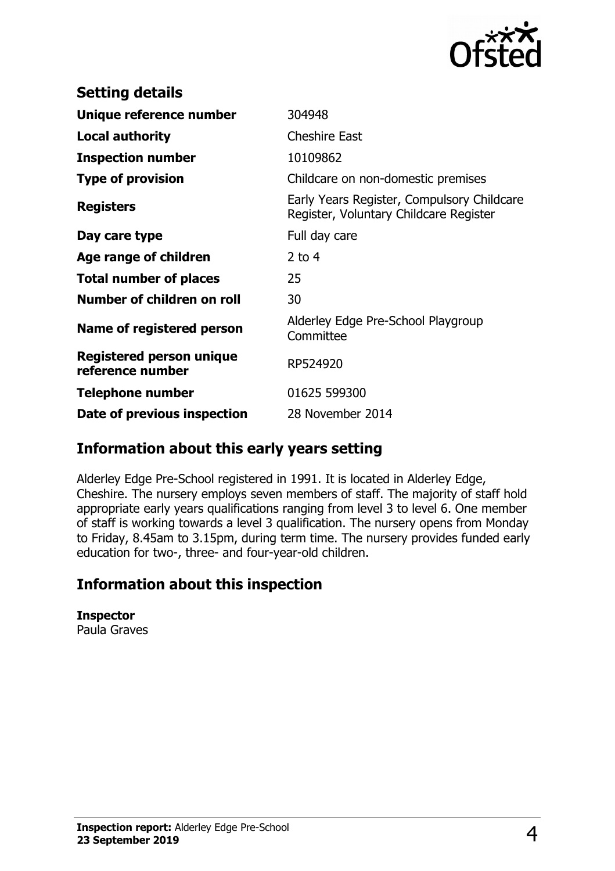

| <b>Setting details</b>                              |                                                                                      |
|-----------------------------------------------------|--------------------------------------------------------------------------------------|
| Unique reference number                             | 304948                                                                               |
| <b>Local authority</b>                              | <b>Cheshire East</b>                                                                 |
| <b>Inspection number</b>                            | 10109862                                                                             |
| <b>Type of provision</b>                            | Childcare on non-domestic premises                                                   |
| <b>Registers</b>                                    | Early Years Register, Compulsory Childcare<br>Register, Voluntary Childcare Register |
| Day care type                                       | Full day care                                                                        |
| Age range of children                               | 2 to $4$                                                                             |
| <b>Total number of places</b>                       | 25                                                                                   |
| Number of children on roll                          | 30                                                                                   |
| Name of registered person                           | Alderley Edge Pre-School Playgroup<br>Committee                                      |
| <b>Registered person unique</b><br>reference number | RP524920                                                                             |
| <b>Telephone number</b>                             | 01625 599300                                                                         |
| Date of previous inspection                         | 28 November 2014                                                                     |

## **Information about this early years setting**

Alderley Edge Pre-School registered in 1991. It is located in Alderley Edge, Cheshire. The nursery employs seven members of staff. The majority of staff hold appropriate early years qualifications ranging from level 3 to level 6. One member of staff is working towards a level 3 qualification. The nursery opens from Monday to Friday, 8.45am to 3.15pm, during term time. The nursery provides funded early education for two-, three- and four-year-old children.

# **Information about this inspection**

**Inspector** Paula Graves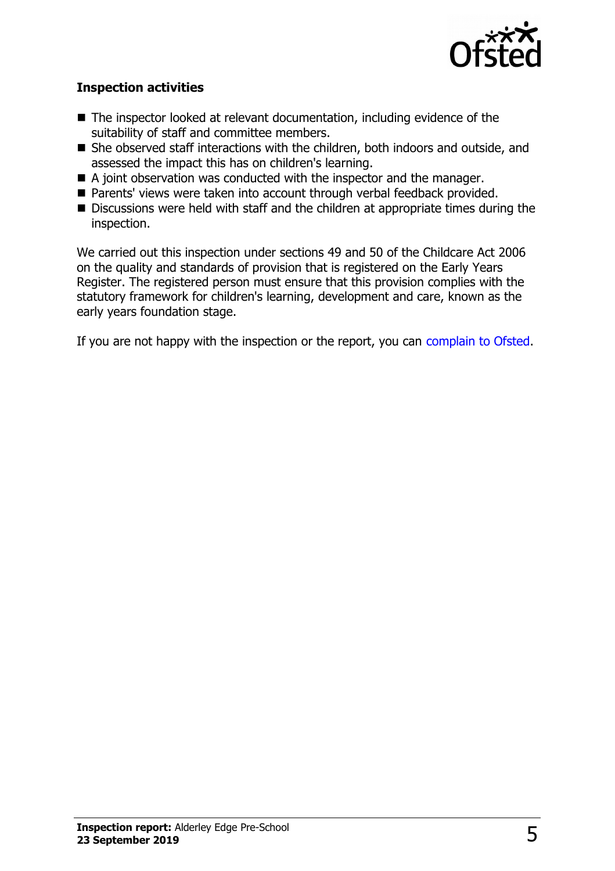

#### **Inspection activities**

- $\blacksquare$  The inspector looked at relevant documentation, including evidence of the suitability of staff and committee members.
- She observed staff interactions with the children, both indoors and outside, and assessed the impact this has on children's learning.
- $\blacksquare$  A joint observation was conducted with the inspector and the manager.
- Parents' views were taken into account through verbal feedback provided.
- $\blacksquare$  Discussions were held with staff and the children at appropriate times during the inspection.

We carried out this inspection under sections 49 and 50 of the Childcare Act 2006 on the quality and standards of provision that is registered on the Early Years Register. The registered person must ensure that this provision complies with the statutory framework for children's learning, development and care, known as the early years foundation stage.

If you are not happy with the inspection or the report, you can [complain to Ofsted.](http://www.gov.uk/complain-ofsted-report)